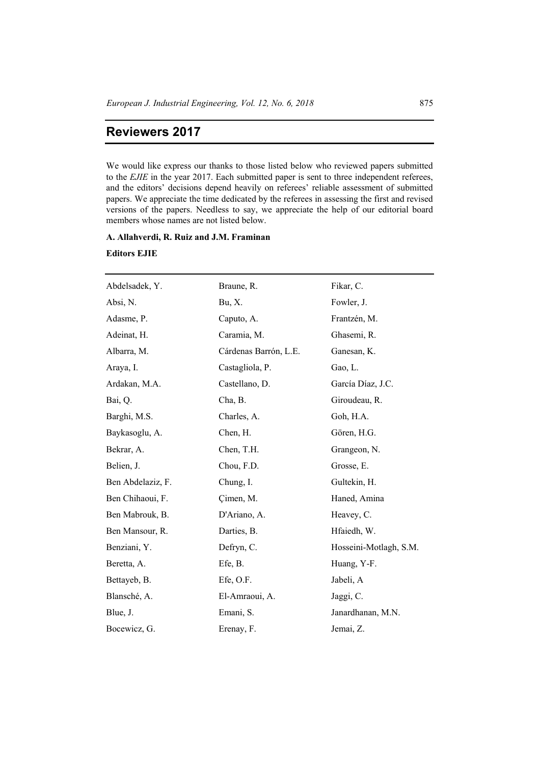## **Reviewers 2017**

We would like express our thanks to those listed below who reviewed papers submitted to the *EJIE* in the year 2017. Each submitted paper is sent to three independent referees, and the editors' decisions depend heavily on referees' reliable assessment of submitted papers. We appreciate the time dedicated by the referees in assessing the first and revised versions of the papers. Needless to say, we appreciate the help of our editorial board members whose names are not listed below.

## **A. Allahverdi, R. Ruiz and J.M. Framinan**

## **Editors EJIE**

| Abdelsadek, Y.    | Braune, R.            | Fikar, C.              |
|-------------------|-----------------------|------------------------|
| Absi, N.          | Bu, X.                | Fowler, J.             |
| Adasme, P.        | Caputo, A.            | Frantzén, M.           |
| Adeinat, H.       | Caramia, M.           | Ghasemi, R.            |
| Albarra, M.       | Cárdenas Barrón, L.E. | Ganesan, K.            |
| Araya, I.         | Castagliola, P.       | Gao, L.                |
| Ardakan, M.A.     | Castellano, D.        | García Díaz, J.C.      |
| Bai, Q.           | Cha, B.               | Giroudeau, R.          |
| Barghi, M.S.      | Charles, A.           | Goh, H.A.              |
| Baykasoglu, A.    | Chen, H.              | Gören, H.G.            |
| Bekrar, A.        | Chen, T.H.            | Grangeon, N.           |
| Belien, J.        | Chou, F.D.            | Grosse, E.             |
| Ben Abdelaziz, F. | Chung, I.             | Gultekin, H.           |
| Ben Chihaoui, F.  | Cimen, M.             | Haned, Amina           |
| Ben Mabrouk, B.   | D'Ariano, A.          | Heavey, C.             |
| Ben Mansour, R.   | Darties, B.           | Hfaiedh, W.            |
| Benziani, Y.      | Defryn, C.            | Hosseini-Motlagh, S.M. |
| Beretta, A.       | Efe, B.               | Huang, Y-F.            |
| Bettayeb, B.      | Efe, O.F.             | Jabeli, A              |
| Blansché, A.      | El-Amraoui, A.        | Jaggi, C.              |
| Blue, J.          | Emani, S.             | Janardhanan, M.N.      |
| Bocewicz, G.      | Erenay, F.            | Jemai, Z.              |